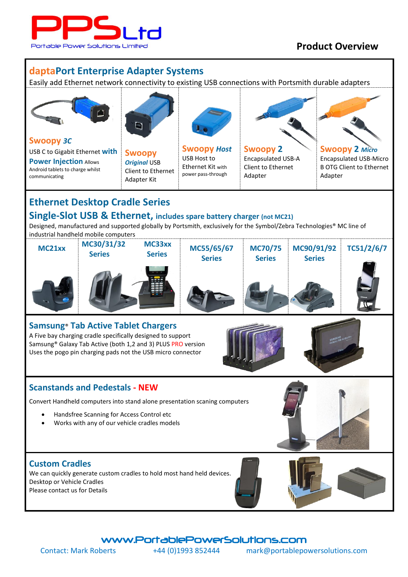

# **Product Overview**